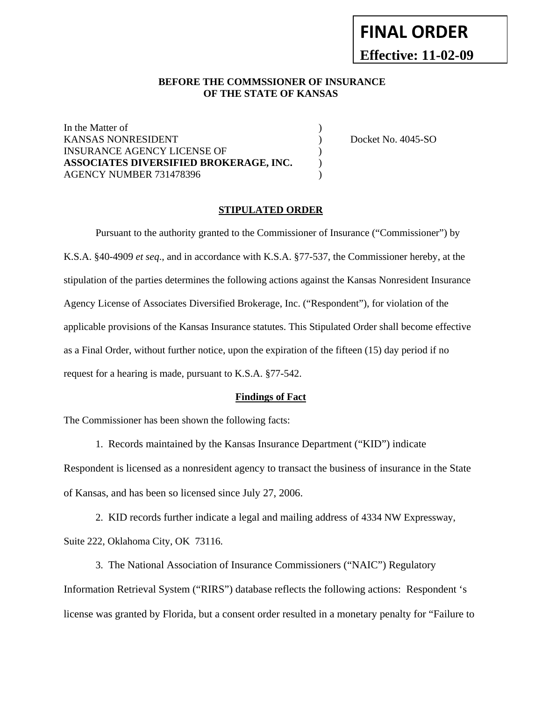# **FINAL ORDER Effective: 11-02-09**

## **BEFORE THE COMMSSIONER OF INSURANCE OF THE STATE OF KANSAS**

In the Matter of  $\blacksquare$ KANSAS NONRESIDENT ) Docket No. 4045-SO INSURANCE AGENCY LICENSE OF  $\qquad \qquad$  ) **ASSOCIATES DIVERSIFIED BROKERAGE, INC.** ) AGENCY NUMBER 731478396 (2003)

### **STIPULATED ORDER**

Pursuant to the authority granted to the Commissioner of Insurance ("Commissioner") by K.S.A. §40-4909 *et seq*., and in accordance with K.S.A. §77-537, the Commissioner hereby, at the stipulation of the parties determines the following actions against the Kansas Nonresident Insurance Agency License of Associates Diversified Brokerage, Inc. ("Respondent"), for violation of the applicable provisions of the Kansas Insurance statutes. This Stipulated Order shall become effective as a Final Order, without further notice, upon the expiration of the fifteen (15) day period if no request for a hearing is made, pursuant to K.S.A. §77-542.

#### **Findings of Fact**

The Commissioner has been shown the following facts:

1. Records maintained by the Kansas Insurance Department ("KID") indicate

Respondent is licensed as a nonresident agency to transact the business of insurance in the State of Kansas, and has been so licensed since July 27, 2006.

 2. KID records further indicate a legal and mailing address of 4334 NW Expressway, Suite 222, Oklahoma City, OK 73116.

 3. The National Association of Insurance Commissioners ("NAIC") Regulatory Information Retrieval System ("RIRS") database reflects the following actions: Respondent 's license was granted by Florida, but a consent order resulted in a monetary penalty for "Failure to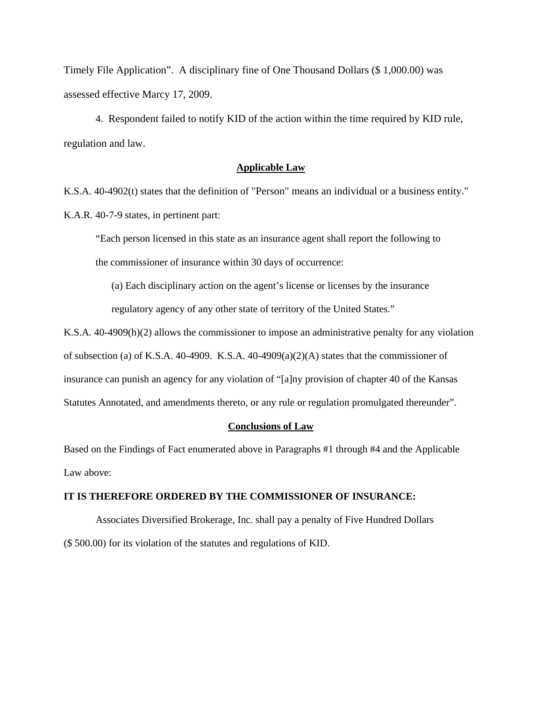Timely File Application". A disciplinary fine of One Thousand Dollars (\$ 1,000.00) was assessed effective Marcy 17, 2009.

 4. Respondent failed to notify KID of the action within the time required by KID rule, regulation and law.

#### **Applicable Law**

K.S.A. 40-4902(t) states that the definition of "Person" means an individual or a business entity." K.A.R. 40-7-9 states, in pertinent part:

"Each person licensed in this state as an insurance agent shall report the following to the commissioner of insurance within 30 days of occurrence:

(a) Each disciplinary action on the agent's license or licenses by the insurance regulatory agency of any other state of territory of the United States."

K.S.A. 40-4909(h)(2) allows the commissioner to impose an administrative penalty for any violation of subsection (a) of K.S.A.  $40-4909$ . K.S.A.  $40-4909(a)(2)(A)$  states that the commissioner of insurance can punish an agency for any violation of "[a]ny provision of chapter 40 of the Kansas Statutes Annotated, and amendments thereto, or any rule or regulation promulgated thereunder".

## **Conclusions of Law**

Based on the Findings of Fact enumerated above in Paragraphs #1 through #4 and the Applicable Law above:

## **IT IS THEREFORE ORDERED BY THE COMMISSIONER OF INSURANCE:**

 Associates Diversified Brokerage, Inc. shall pay a penalty of Five Hundred Dollars (\$ 500.00) for its violation of the statutes and regulations of KID.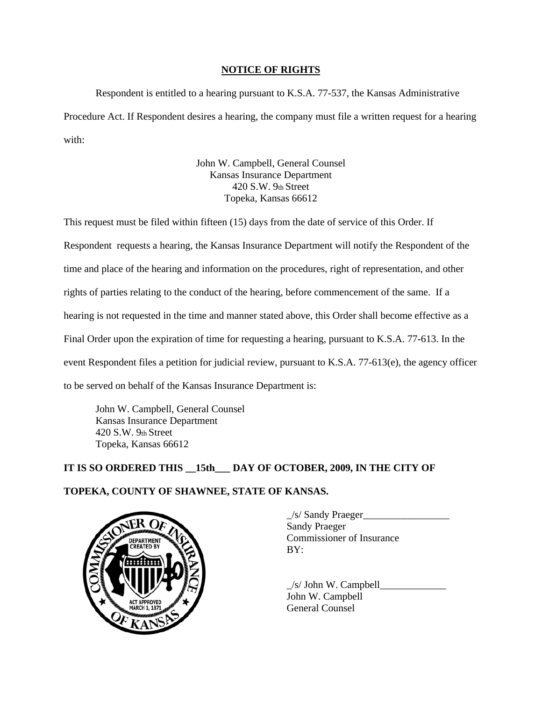## **NOTICE OF RIGHTS**

 Respondent is entitled to a hearing pursuant to K.S.A. 77-537, the Kansas Administrative Procedure Act. If Respondent desires a hearing, the company must file a written request for a hearing with:

> John W. Campbell, General Counsel Kansas Insurance Department 420 S.W. 9th Street Topeka, Kansas 66612

This request must be filed within fifteen (15) days from the date of service of this Order. If Respondent requests a hearing, the Kansas Insurance Department will notify the Respondent of the time and place of the hearing and information on the procedures, right of representation, and other rights of parties relating to the conduct of the hearing, before commencement of the same. If a hearing is not requested in the time and manner stated above, this Order shall become effective as a Final Order upon the expiration of time for requesting a hearing, pursuant to K.S.A. 77-613. In the event Respondent files a petition for judicial review, pursuant to K.S.A. 77-613(e), the agency officer to be served on behalf of the Kansas Insurance Department is:

John W. Campbell, General Counsel Kansas Insurance Department 420 S.W. 9th Street Topeka, Kansas 66612

# **IT IS SO ORDERED THIS \_\_15th\_\_\_ DAY OF OCTOBER, 2009, IN THE CITY OF**

# **TOPEKA, COUNTY OF SHAWNEE, STATE OF KANSAS.**



 $\angle$ s/ Sandy Praeger $\angle$ Sandy Praeger Commissioner of Insurance BY:

 $/s/$  John W. Campbell John W. Campbell General Counsel